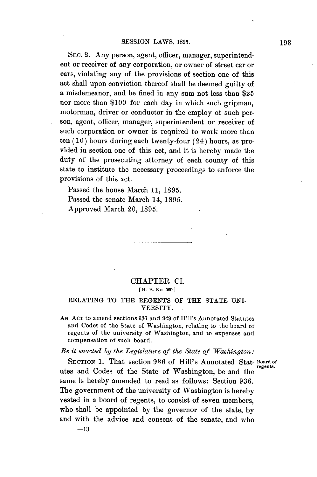**SEC.** 2. Any person, agent, officer, manager, superintendent or receiver of any corporation, or owner of street car or cars, violating any of the provisions of section one of this act shall upon conviction thereof shall be deemed guilty of a misdemeanor, and be fined in any sum not less than **\$25** nor more than **\$100** for each day in which such gripman, motorman, driver or conductor in the employ of such per**son,** agent, officer, manager, superintendent or receiver of such corporation or owner is required to work more than ten **(10)** hours during each twenty-four (24) hours, as provided in section one of this act, and it is hereby made the duty of the prosecuting attorney of each county of this state to institute the necessary proceedings to enforce the provisions of this act.

Passed the house March **11, 1895.** Passed the senate March 14, **1895.** Approved March 20, **1895.**

## CHAPTER **CL. [** H. B. No. **560.]**

## RELATING TO THE **REGENTS** OF **THE STATE** UNI-VERSITY.

**AN ACT** to amend sections **986** and 949 of Hill's Annotated Statutes and Codes of the State of Washington, relating to the board of regents of the university of Washington, and to expenses and compensation of such board.

## *Be it enacted by the Legislature of the State qf Washington.*

SECTION **1.** That section **936** of Hill's Annotated Stat- **Board** of **regents.** utes and Codes of the State of Washington, be and the same is hereby amended to read as follows: Section **936.** The government of the university of Washington is hereby vested in a board of regents, to consist of seven members, who shall be appointed **by** the governor of the state, **by** and with the advice and consent of the senate, and who